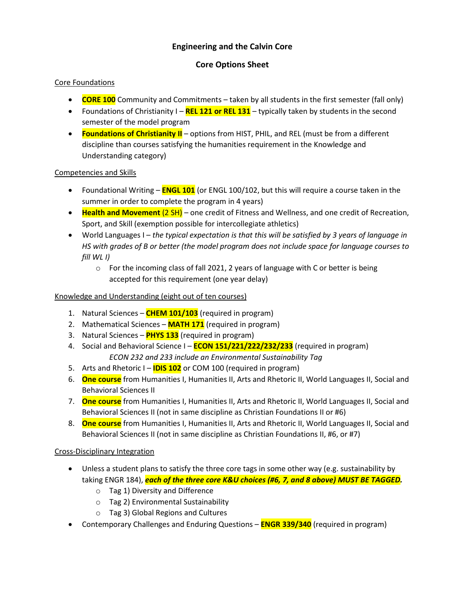## **Engineering and the Calvin Core**

## **Core Options Sheet**

#### Core Foundations

- **CORE 100** Community and Commitments taken by all students in the first semester (fall only)
- Foundations of Christianity I **REL 121 or REL 131** typically taken by students in the second semester of the model program
- **Foundations of Christianity II** options from HIST, PHIL, and REL (must be from a different discipline than courses satisfying the humanities requirement in the Knowledge and Understanding category)

#### Competencies and Skills

- Foundational Writing **ENGL 101** (or ENGL 100/102, but this will require a course taken in the summer in order to complete the program in 4 years)
- **Health and Movement** (2 SH) one credit of Fitness and Wellness, and one credit of Recreation, Sport, and Skill (exemption possible for intercollegiate athletics)
- World Languages I *the typical expectation is that this will be satisfied by 3 years of language in HS with grades of B or better (the model program does not include space for language courses to fill WL I)*
	- $\circ$  For the incoming class of fall 2021, 2 years of language with C or better is being accepted for this requirement (one year delay)

#### Knowledge and Understanding (eight out of ten courses)

- 1. Natural Sciences **CHEM 101/103** (required in program)
- 2. Mathematical Sciences **MATH 171** (required in program)
- 3. Natural Sciences **PHYS 133** (required in program)
- 4. Social and Behavioral Science I **ECON 151/221/222/232/233** (required in program) *ECON 232 and 233 include an Environmental Sustainability Tag*
- 5. Arts and Rhetoric I **IDIS 102** or COM 100 (required in program)
- 6. **One course** from Humanities I, Humanities II, Arts and Rhetoric II, World Languages II, Social and Behavioral Sciences II
- 7. **One course** from Humanities I, Humanities II, Arts and Rhetoric II, World Languages II, Social and Behavioral Sciences II (not in same discipline as Christian Foundations II or #6)
- 8. **One course** from Humanities I, Humanities II, Arts and Rhetoric II, World Languages II, Social and Behavioral Sciences II (not in same discipline as Christian Foundations II, #6, or #7)

### Cross-Disciplinary Integration

- Unless a student plans to satisfy the three core tags in some other way (e.g. sustainability by taking ENGR 184), *each of the three core K&U choices (#6, 7, and 8 above) MUST BE TAGGED.*
	- o Tag 1) Diversity and Difference
	- o Tag 2) Environmental Sustainability
	- o Tag 3) Global Regions and Cultures
- Contemporary Challenges and Enduring Questions **ENGR 339/340** (required in program)